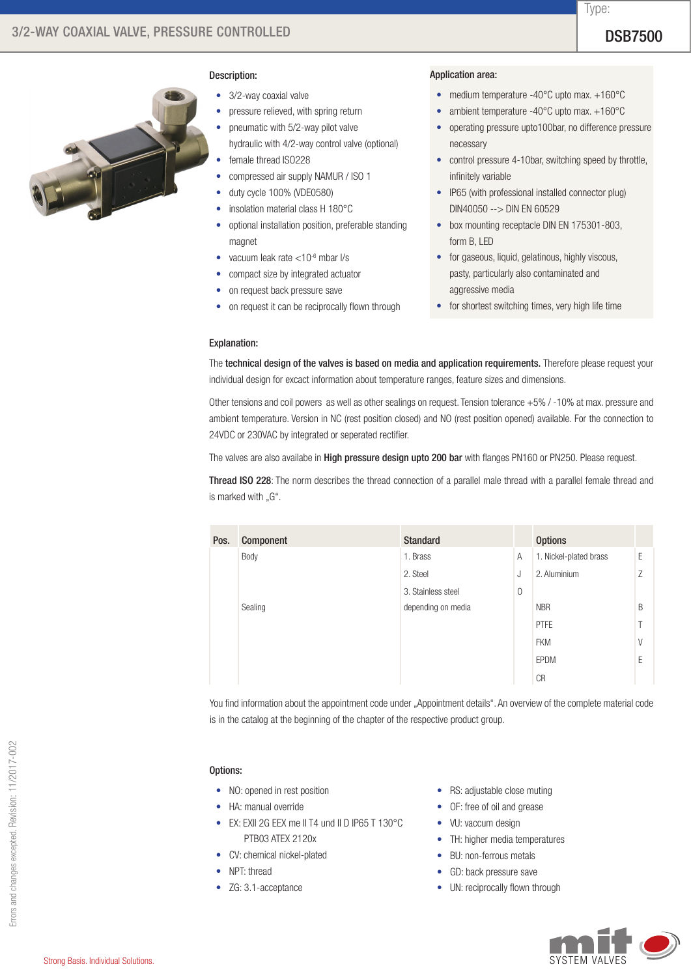Type:



### Description:

- 3/2-way coaxial valve
- pressure relieved, with spring return
- pneumatic with 5/2-way pilot valve
- hydraulic with 4/2-way control valve (optional) female thread ISO228
- compressed air supply NAMUR / ISO 1
- duty cycle 100% (VDE0580)
- insolation material class H 180°C
- optional installation position, preferable standing magnet
- vacuum leak rate  $<$  10 $<sup>6</sup>$  mbar l/s</sup>
- • compact size by integrated actuator
- on request back pressure save
- on request it can be reciprocally flown through

# Application area:

- medium temperature -40°C upto max. +160°C
- ambient temperature -40°C upto max. +160°C
- operating pressure upto100bar, no difference pressure necessary
- control pressure 4-10bar, switching speed by throttle, infinitely variable
- IP65 (with professional installed connector plug) DIN40050 --> DIN EN 60529
- box mounting receptacle DIN EN 175301-803, form B, LED
- for gaseous, liquid, gelatinous, highly viscous, pasty, particularly also contaminated and aggressive media
- for shortest switching times, very high life time

# Explanation:

The technical design of the valves is based on media and application requirements. Therefore please request your individual design for excact information about temperature ranges, feature sizes and dimensions.

Other tensions and coil powers as well as other sealings on request. Tension tolerance +5% / -10% at max. pressure and ambient temperature. Version in NC (rest position closed) and NO (rest position opened) available. For the connection to 24VDC or 230VAC by integrated or seperated rectifier.

The valves are also availabe in High pressure design upto 200 bar with flanges PN160 or PN250. Please request.

Thread ISO 228: The norm describes the thread connection of a parallel male thread with a parallel female thread and is marked with "G".

| Pos. | Component | <b>Standard</b>    |             | <b>Options</b>         |   |
|------|-----------|--------------------|-------------|------------------------|---|
|      | Body      | 1. Brass           | A           | 1. Nickel-plated brass | E |
|      |           | 2. Steel           | J           | 2. Aluminium           | Z |
|      |           | 3. Stainless steel | $\mathbf 0$ |                        |   |
|      | Sealing   | depending on media |             | <b>NBR</b>             | B |
|      |           |                    |             | <b>PTFE</b>            |   |
|      |           |                    |             | <b>FKM</b>             | V |
|      |           |                    |             | EPDM                   | F |
|      |           |                    |             | <b>CR</b>              |   |

You find information about the appointment code under "Appointment details". An overview of the complete material code is in the catalog at the beginning of the chapter of the respective product group.

# Options:

- NO: opened in rest position
- HA: manual override
- • EX: EXII 2G EEX me II T4 und II D IP65 T 130°C PTB03 ATEX 2120x
- CV: chemical nickel-plated
- NPT: thread
- ZG: 3.1-acceptance
- RS: adjustable close muting
- OF: free of oil and grease
- VU: vaccum design
- TH: higher media temperatures
- BU: non-ferrous metals
- GD: back pressure save
- UN: reciprocally flown through